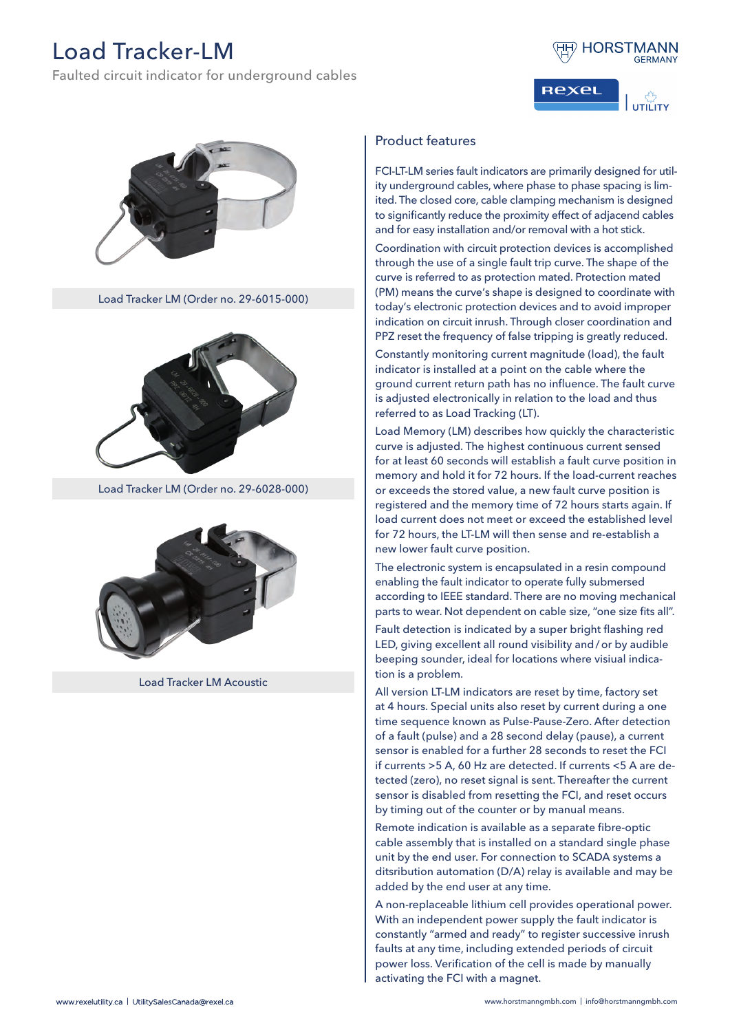## Load Tracker-LM

Faulted circuit indicator for underground cables



**ReXel**  $\lim_{T \to T}$ ית



Load Tracker LM (Order no. 29-6015-000)



Load Tracker LM (Order no. 29-6028-000)



Load Tracker LM Acoustic

## Product features

FCI-LT-LM series fault indicators are primarily designed for utility underground cables, where phase to phase spacing is limited. The closed core, cable clamping mechanism is designed to significantly reduce the proximity effect of adjacend cables and for easy installation and/or removal with a hot stick.

Coordination with circuit protection devices is accomplished through the use of a single fault trip curve. The shape of the curve is referred to as protection mated. Protection mated (PM) means the curve's shape is designed to coordinate with today's electronic protection devices and to avoid improper indication on circuit inrush. Through closer coordination and PPZ reset the frequency of false tripping is greatly reduced.

Constantly monitoring current magnitude (load), the fault indicator is installed at a point on the cable where the ground current return path has no influence. The fault curve is adjusted electronically in relation to the load and thus referred to as Load Tracking (LT).

Load Memory (LM) describes how quickly the characteristic curve is adjusted. The highest continuous current sensed for at least 60 seconds will establish a fault curve position in memory and hold it for 72 hours. If the load-current reaches or exceeds the stored value, a new fault curve position is registered and the memory time of 72 hours starts again. If load current does not meet or exceed the established level for 72 hours, the LT-LM will then sense and re-establish a new lower fault curve position.

The electronic system is encapsulated in a resin compound enabling the fault indicator to operate fully submersed according to IEEE standard. There are no moving mechanical parts to wear. Not dependent on cable size, "one size fits all".

Fault detection is indicated by a super bright flashing red LED, giving excellent all round visibility and/or by audible beeping sounder, ideal for locations where visiual indication is a problem.

All version LT-LM indicators are reset by time, factory set at 4 hours. Special units also reset by current during a one time sequence known as Pulse-Pause-Zero. After detection of a fault (pulse) and a 28 second delay (pause), a current sensor is enabled for a further 28 seconds to reset the FCI if currents >5 A, 60 Hz are detected. If currents <5 A are detected (zero), no reset signal is sent. Thereafter the current sensor is disabled from resetting the FCI, and reset occurs by timing out of the counter or by manual means.

Remote indication is available as a separate fibre-optic cable assembly that is installed on a standard single phase unit by the end user. For connection to SCADA systems a ditsribution automation (D/A) relay is available and may be added by the end user at any time.

A non-replaceable lithium cell provides operational power. With an independent power supply the fault indicator is constantly "armed and ready" to register successive inrush faults at any time, including extended periods of circuit power loss. Verification of the cell is made by manually activating the FCI with a magnet.